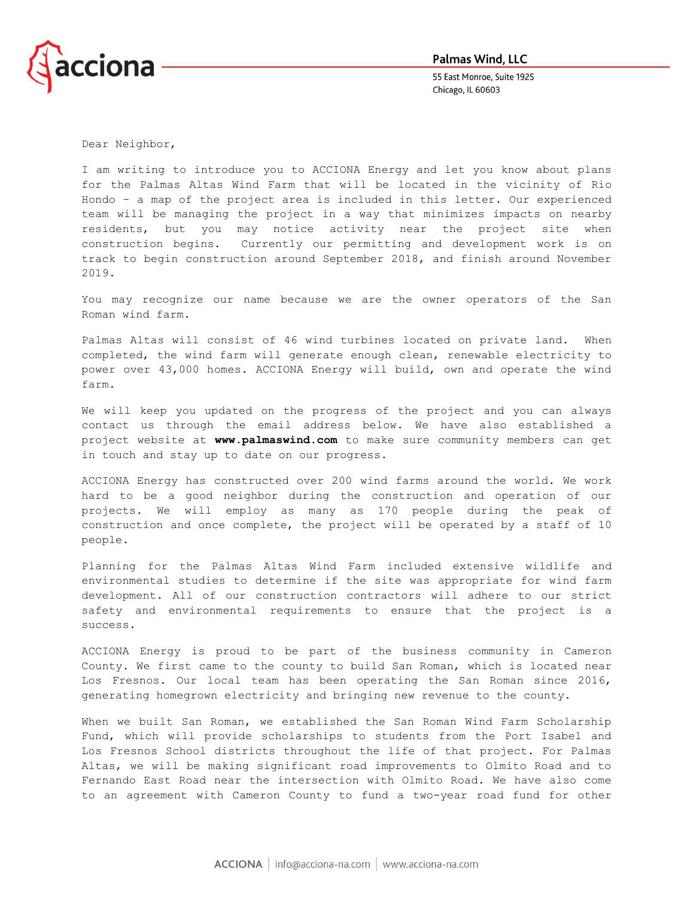

55 East Monroe, Suite 1925 Chicago, IL 60603

Dear Neighbor,

I am writing to introduce you to ACCIONA Energy and let you know about plans for the Palmas Altas Wind Farm that will be located in the vicinity of Rio Hondo – a map of the project area is included in this letter. Our experienced team will be managing the project in a way that minimizes impacts on nearby residents, but you may notice activity near the project site when construction begins. Currently our permitting and development work is on track to begin construction around September 2018, and finish around November 2019.

You may recognize our name because we are the owner operators of the San Roman wind farm.

Palmas Altas will consist of 46 wind turbines located on private land. When completed, the wind farm will generate enough clean, renewable electricity to power over 43,000 homes. ACCIONA Energy will build, own and operate the wind farm.

We will keep you updated on the progress of the project and you can always contact us through the email address below. We have also established a project website at **www.palmaswind.com** to make sure community members can get in touch and stay up to date on our progress.

ACCIONA Energy has constructed over 200 wind farms around the world. We work hard to be a good neighbor during the construction and operation of our projects. We will employ as many as 170 people during the peak of construction and once complete, the project will be operated by a staff of 10 people.

Planning for the Palmas Altas Wind Farm included extensive wildlife and environmental studies to determine if the site was appropriate for wind farm development. All of our construction contractors will adhere to our strict safety and environmental requirements to ensure that the project is a success.

ACCIONA Energy is proud to be part of the business community in Cameron County. We first came to the county to build San Roman, which is located near Los Fresnos. Our local team has been operating the San Roman since 2016, generating homegrown electricity and bringing new revenue to the county.

When we built San Roman, we established the San Roman Wind Farm Scholarship Fund, which will provide scholarships to students from the Port Isabel and Los Fresnos School districts throughout the life of that project. For Palmas Altas, we will be making significant road improvements to Olmito Road and to Fernando East Road near the intersection with Olmito Road. We have also come to an agreement with Cameron County to fund a two-year road fund for other